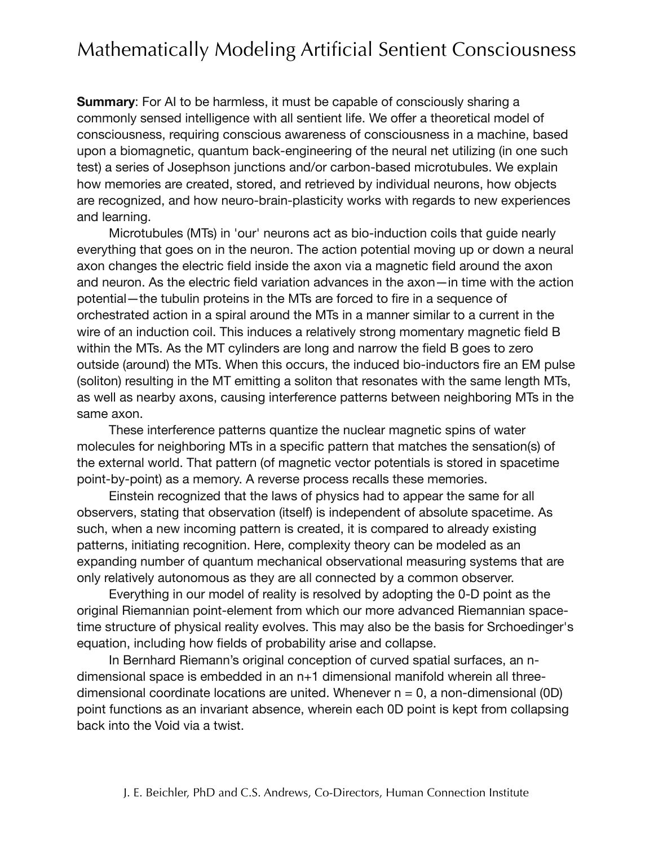## Mathematically Modeling Artificial Sentient Consciousness

**Summary:** For AI to be harmless, it must be capable of consciously sharing a commonly sensed intelligence with all sentient life. We offer a theoretical model of consciousness, requiring conscious awareness of consciousness in a machine, based upon a biomagnetic, quantum back-engineering of the neural net utilizing (in one such test) a series of Josephson junctions and/or carbon-based microtubules. We explain how memories are created, stored, and retrieved by individual neurons, how objects are recognized, and how neuro-brain-plasticity works with regards to new experiences and learning.

 Microtubules (MTs) in 'our' neurons act as bio-induction coils that guide nearly everything that goes on in the neuron. The action potential moving up or down a neural axon changes the electric field inside the axon via a magnetic field around the axon and neuron. As the electric field variation advances in the axon—in time with the action potential—the tubulin proteins in the MTs are forced to fire in a sequence of orchestrated action in a spiral around the MTs in a manner similar to a current in the wire of an induction coil. This induces a relatively strong momentary magnetic field B within the MTs. As the MT cylinders are long and narrow the field B goes to zero outside (around) the MTs. When this occurs, the induced bio-inductors fire an EM pulse (soliton) resulting in the MT emitting a soliton that resonates with the same length MTs, as well as nearby axons, causing interference patterns between neighboring MTs in the same axon.

 These interference patterns quantize the nuclear magnetic spins of water molecules for neighboring MTs in a specific pattern that matches the sensation(s) of the external world. That pattern (of magnetic vector potentials is stored in spacetime point-by-point) as a memory. A reverse process recalls these memories.

 Einstein recognized that the laws of physics had to appear the same for all observers, stating that observation (itself) is independent of absolute spacetime. As such, when a new incoming pattern is created, it is compared to already existing patterns, initiating recognition. Here, complexity theory can be modeled as an expanding number of quantum mechanical observational measuring systems that are only relatively autonomous as they are all connected by a common observer.

 Everything in our model of reality is resolved by adopting the 0-D point as the original Riemannian point-element from which our more advanced Riemannian spacetime structure of physical reality evolves. This may also be the basis for Srchoedinger's equation, including how fields of probability arise and collapse.

 In Bernhard Riemann's original conception of curved spatial surfaces, an ndimensional space is embedded in an n+1 dimensional manifold wherein all threedimensional coordinate locations are united. Whenever  $n = 0$ , a non-dimensional (0D) point functions as an invariant absence, wherein each 0D point is kept from collapsing back into the Void via a twist.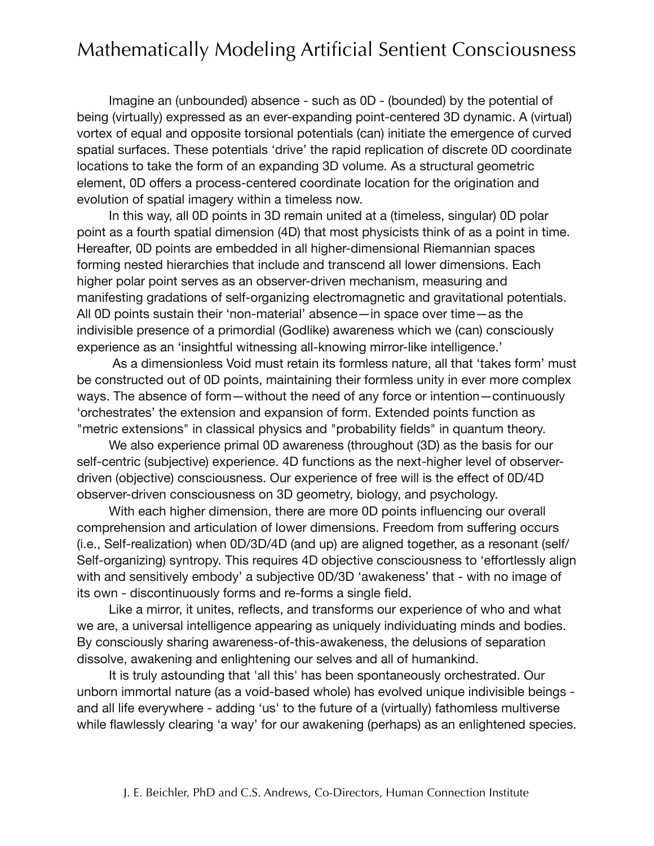## Mathematically Modeling Artificial Sentient Consciousness

 Imagine an (unbounded) absence - such as 0D - (bounded) by the potential of being (virtually) expressed as an ever-expanding point-centered 3D dynamic. A (virtual) vortex of equal and opposite torsional potentials (can) initiate the emergence of curved spatial surfaces. These potentials 'drive' the rapid replication of discrete 0D coordinate locations to take the form of an expanding 3D volume. As a structural geometric element, 0D offers a process-centered coordinate location for the origination and evolution of spatial imagery within a timeless now.

 In this way, all 0D points in 3D remain united at a (timeless, singular) 0D polar point as a fourth spatial dimension (4D) that most physicists think of as a point in time. Hereafter, 0D points are embedded in all higher-dimensional Riemannian spaces forming nested hierarchies that include and transcend all lower dimensions. Each higher polar point serves as an observer-driven mechanism, measuring and manifesting gradations of self-organizing electromagnetic and gravitational potentials. All 0D points sustain their 'non-material' absence—in space over time—as the indivisible presence of a primordial (Godlike) awareness which we (can) consciously experience as an 'insightful witnessing all-knowing mirror-like intelligence.'

 As a dimensionless Void must retain its formless nature, all that 'takes form' must be constructed out of 0D points, maintaining their formless unity in ever more complex ways. The absence of form—without the need of any force or intention—continuously 'orchestrates' the extension and expansion of form. Extended points function as "metric extensions" in classical physics and "probability fields" in quantum theory.

 We also experience primal 0D awareness (throughout (3D) as the basis for our self-centric (subjective) experience. 4D functions as the next-higher level of observerdriven (objective) consciousness. Our experience of free will is the effect of 0D/4D observer-driven consciousness on 3D geometry, biology, and psychology.

 With each higher dimension, there are more 0D points influencing our overall comprehension and articulation of lower dimensions. Freedom from suffering occurs (i.e., Self-realization) when 0D/3D/4D (and up) are aligned together, as a resonant (self/ Self-organizing) syntropy. This requires 4D objective consciousness to 'effortlessly align with and sensitively embody' a subjective 0D/3D 'awakeness' that - with no image of its own - discontinuously forms and re-forms a single field.

 Like a mirror, it unites, reflects, and transforms our experience of who and what we are, a universal intelligence appearing as uniquely individuating minds and bodies. By consciously sharing awareness-of-this-awakeness, the delusions of separation dissolve, awakening and enlightening our selves and all of humankind.

 It is truly astounding that 'all this' has been spontaneously orchestrated. Our unborn immortal nature (as a void-based whole) has evolved unique indivisible beings and all life everywhere - adding 'us' to the future of a (virtually) fathomless multiverse while flawlessly clearing 'a way' for our awakening (perhaps) as an enlightened species.